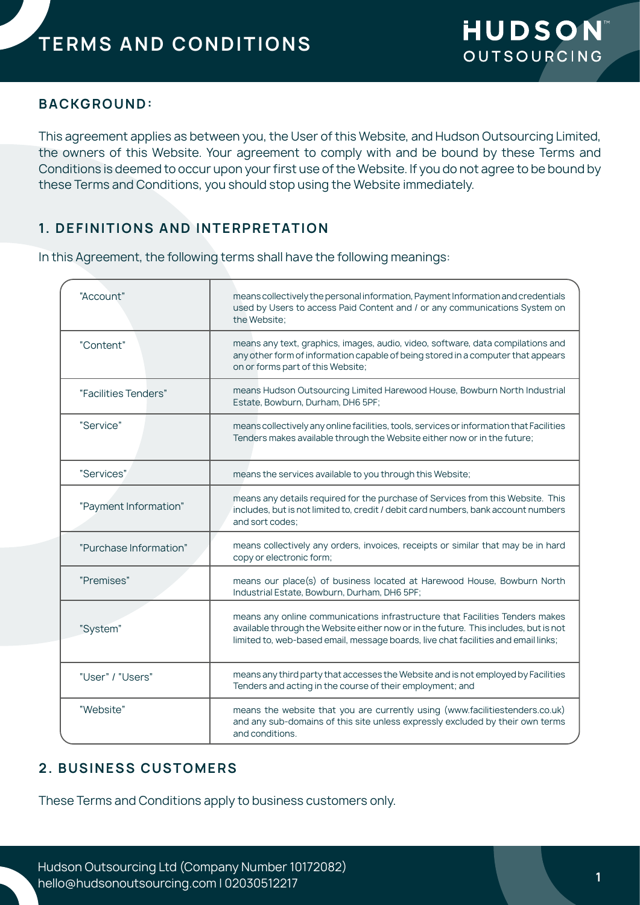### **BACKGROUND:**

This agreement applies as between you, the User of this Website, and Hudson Outsourcing Limited, the owners of this Website. Your agreement to comply with and be bound by these Terms and Conditions is deemed to occur upon your first use of the Website. If you do not agree to be bound by these Terms and Conditions, you should stop using the Website immediately.

## **1. DEFINITIONS AND INTERPRETATION**

In this Agreement, the following terms shall have the following meanings:

| means collectively the personal information, Payment Information and credentials<br>used by Users to access Paid Content and / or any communications System on<br>the Website:                                                                             |
|------------------------------------------------------------------------------------------------------------------------------------------------------------------------------------------------------------------------------------------------------------|
| means any text, graphics, images, audio, video, software, data compilations and<br>any other form of information capable of being stored in a computer that appears<br>on or forms part of this Website;                                                   |
| means Hudson Outsourcing Limited Harewood House, Bowburn North Industrial<br>Estate, Bowburn, Durham, DH6 5PF;                                                                                                                                             |
| means collectively any online facilities, tools, services or information that Facilities<br>Tenders makes available through the Website either now or in the future;                                                                                       |
| means the services available to you through this Website;                                                                                                                                                                                                  |
| means any details required for the purchase of Services from this Website. This<br>includes, but is not limited to, credit / debit card numbers, bank account numbers<br>and sort codes:                                                                   |
| means collectively any orders, invoices, receipts or similar that may be in hard<br>copy or electronic form;                                                                                                                                               |
| means our place(s) of business located at Harewood House, Bowburn North<br>Industrial Estate, Bowburn, Durham, DH6 5PF;                                                                                                                                    |
| means any online communications infrastructure that Facilities Tenders makes<br>available through the Website either now or in the future. This includes, but is not<br>limited to, web-based email, message boards, live chat facilities and email links; |
| means any third party that accesses the Website and is not employed by Facilities<br>Tenders and acting in the course of their employment; and                                                                                                             |
| means the website that you are currently using (www.facilitiestenders.co.uk)<br>and any sub-domains of this site unless expressly excluded by their own terms<br>and conditions.                                                                           |
|                                                                                                                                                                                                                                                            |

## **2. BUSINESS CUSTOMERS**

These Terms and Conditions apply to business customers only.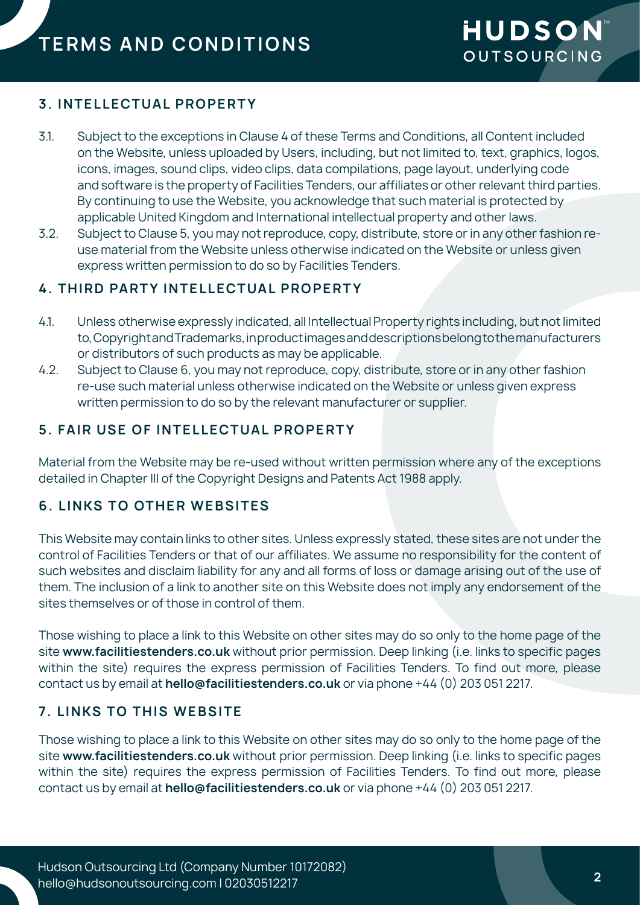## **3. INTELLECTUAL PROPERTY**

- 3.1. Subject to the exceptions in Clause 4 of these Terms and Conditions, all Content included on the Website, unless uploaded by Users, including, but not limited to, text, graphics, logos, icons, images, sound clips, video clips, data compilations, page layout, underlying code and software is the property of Facilities Tenders, our affiliates or other relevant third parties. By continuing to use the Website, you acknowledge that such material is protected by applicable United Kingdom and International intellectual property and other laws.
- 3.2. Subject to Clause 5, you may not reproduce, copy, distribute, store or in any other fashion reuse material from the Website unless otherwise indicated on the Website or unless given express written permission to do so by Facilities Tenders.

## **4. THIRD PARTY INTELLECTUAL PROPERTY**

- 4.1. Unless otherwise expressly indicated, all Intellectual Property rights including, but not limited to, Copyright and Trademarks, in product images and descriptions belong to the manufacturers or distributors of such products as may be applicable.
- 4.2. Subject to Clause 6, you may not reproduce, copy, distribute, store or in any other fashion re-use such material unless otherwise indicated on the Website or unless given express written permission to do so by the relevant manufacturer or supplier.

## **5. FAIR USE OF INTELLECTUAL PROPERTY**

Material from the Website may be re-used without written permission where any of the exceptions detailed in Chapter III of the Copyright Designs and Patents Act 1988 apply.

# **6. LINKS TO OTHER WEBSITES**

This Website may contain links to other sites. Unless expressly stated, these sites are not under the control of Facilities Tenders or that of our affiliates. We assume no responsibility for the content of such websites and disclaim liability for any and all forms of loss or damage arising out of the use of them. The inclusion of a link to another site on this Website does not imply any endorsement of the sites themselves or of those in control of them.

Those wishing to place a link to this Website on other sites may do so only to the home page of the site **www.facilitiestenders.co.uk** without prior permission. Deep linking (i.e. links to specific pages within the site) requires the express permission of Facilities Tenders. To find out more, please contact us by email at **hello@facilitiestenders.co.uk** or via phone +44 (0) 203 051 2217.

## **7. LINKS TO THIS WEBSITE**

Those wishing to place a link to this Website on other sites may do so only to the home page of the site **www.facilitiestenders.co.uk** without prior permission. Deep linking (i.e. links to specific pages within the site) requires the express permission of Facilities Tenders. To find out more, please contact us by email at **hello@facilitiestenders.co.uk** or via phone +44 (0) 203 051 2217.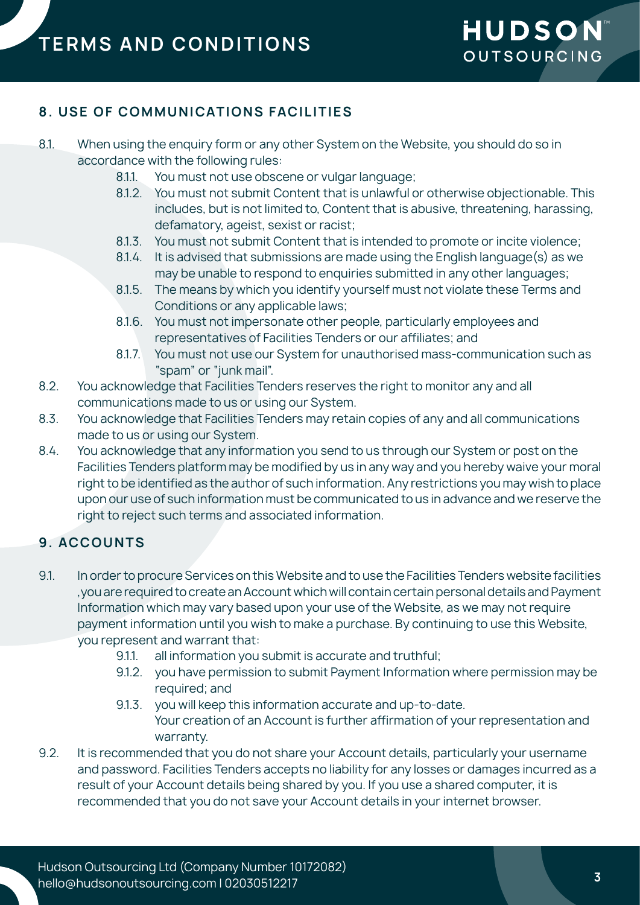## **8. USE OF COMMUNICATIONS FACILITIES**

- 8.1. When using the enquiry form or any other System on the Website, you should do so in accordance with the following rules:
	- 8.1.1. You must not use obscene or vulgar language;
	- 8.1.2. You must not submit Content that is unlawful or otherwise objectionable. This includes, but is not limited to, Content that is abusive, threatening, harassing, defamatory, ageist, sexist or racist;
	- 8.1.3. You must not submit Content that is intended to promote or incite violence;
	- 8.1.4. It is advised that submissions are made using the English language(s) as we may be unable to respond to enquiries submitted in any other languages;
	- 8.1.5. The means by which you identify yourself must not violate these Terms and Conditions or any applicable laws;
	- 8.1.6. You must not impersonate other people, particularly employees and representatives of Facilities Tenders or our affiliates; and
	- 8.1.7. You must not use our System for unauthorised mass-communication such as "spam" or "junk mail".
- 8.2. You acknowledge that Facilities Tenders reserves the right to monitor any and all communications made to us or using our System.
- 8.3. You acknowledge that Facilities Tenders may retain copies of any and all communications made to us or using our System.
- 8.4. You acknowledge that any information you send to us through our System or post on the Facilities Tenders platform may be modified by us in any way and you hereby waive your moral right to be identified as the author of such information. Any restrictions you may wish to place upon our use of such information must be communicated to us in advance and we reserve the right to reject such terms and associated information.

## **9. ACCOUNTS**

- 9.1. In order to procure Services on this Website and to use the Facilities Tenders website facilities ,you are required to create an Account which will contain certain personal details and Payment Information which may vary based upon your use of the Website, as we may not require payment information until you wish to make a purchase. By continuing to use this Website, you represent and warrant that:
	- 9.1.1. all information you submit is accurate and truthful;
	- 9.1.2. you have permission to submit Payment Information where permission may be required; and
	- 9.1.3. you will keep this information accurate and up-to-date. Your creation of an Account is further affirmation of your representation and warranty.
- 9.2. It is recommended that you do not share your Account details, particularly your username and password. Facilities Tenders accepts no liability for any losses or damages incurred as a result of your Account details being shared by you. If you use a shared computer, it is recommended that you do not save your Account details in your internet browser.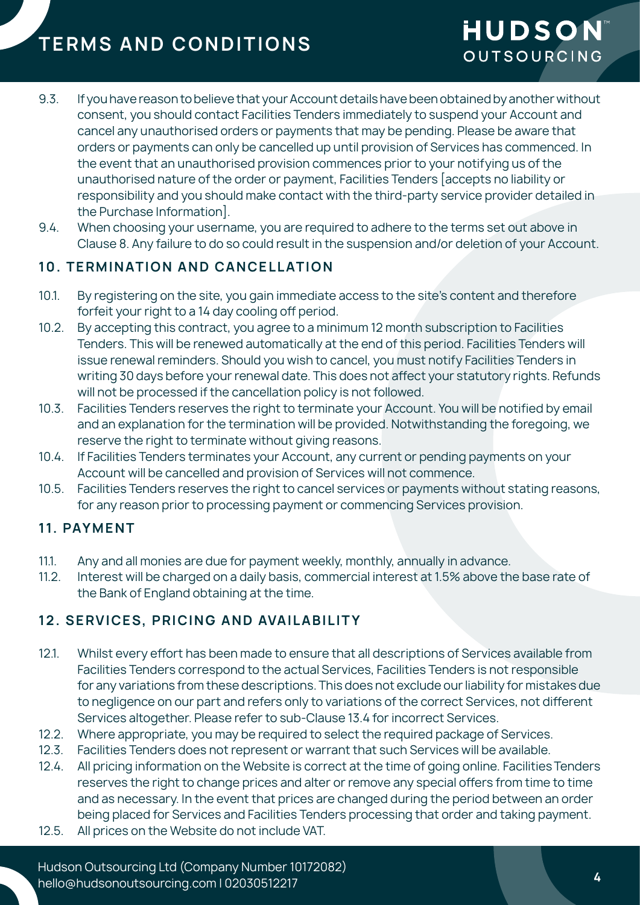- 9.3. If you have reason to believe that your Account details have been obtained by another without consent, you should contact Facilities Tenders immediately to suspend your Account and cancel any unauthorised orders or payments that may be pending. Please be aware that orders or payments can only be cancelled up until provision of Services has commenced. In the event that an unauthorised provision commences prior to your notifying us of the unauthorised nature of the order or payment, Facilities Tenders [accepts no liability or responsibility and you should make contact with the third-party service provider detailed in the Purchase Information].
- 9.4. When choosing your username, you are required to adhere to the terms set out above in Clause 8. Any failure to do so could result in the suspension and/or deletion of your Account.

## **10. TERMINATION AND CANCELLATION**

- 10.1. By registering on the site, you gain immediate access to the site's content and therefore forfeit your right to a 14 day cooling off period.
- 10.2. By accepting this contract, you agree to a minimum 12 month subscription to Facilities Tenders. This will be renewed automatically at the end of this period. Facilities Tenders will issue renewal reminders. Should you wish to cancel, you must notify Facilities Tenders in writing 30 days before your renewal date. This does not affect your statutory rights. Refunds will not be processed if the cancellation policy is not followed.
- 10.3. Facilities Tenders reserves the right to terminate your Account. You will be notified by email and an explanation for the termination will be provided. Notwithstanding the foregoing, we reserve the right to terminate without giving reasons.
- 10.4. If Facilities Tenders terminates your Account, any current or pending payments on your Account will be cancelled and provision of Services will not commence.
- 10.5. Facilities Tenders reserves the right to cancel services or payments without stating reasons, for any reason prior to processing payment or commencing Services provision.

## **11. PAYMENT**

- 11.1. Any and all monies are due for payment weekly, monthly, annually in advance.
- 11.2. Interest will be charged on a daily basis, commercial interest at 1.5% above the base rate of the Bank of England obtaining at the time.

# 12. SERVICES, PRICING AND AVAILABILITY

- 12.1. Whilst every effort has been made to ensure that all descriptions of Services available from Facilities Tenders correspond to the actual Services, Facilities Tenders is not responsible for any variations from these descriptions. This does not exclude our liability for mistakes due to negligence on our part and refers only to variations of the correct Services, not different Services altogether. Please refer to sub-Clause 13.4 for incorrect Services.
- 12.2. Where appropriate, you may be required to select the required package of Services.
- 12.3. Facilities Tenders does not represent or warrant that such Services will be available.
- 12.4. All pricing information on the Website is correct at the time of going online. Facilities Tenders reserves the right to change prices and alter or remove any special offers from time to time and as necessary. In the event that prices are changed during the period between an order being placed for Services and Facilities Tenders processing that order and taking payment.
- 12.5. All prices on the Website do not include VAT.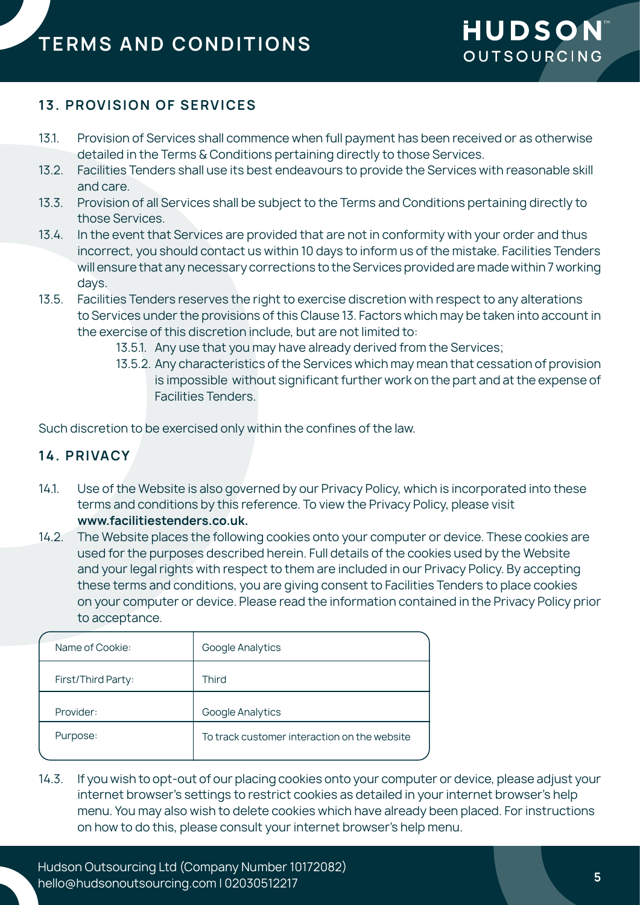# **13. PROVISION OF SERVICES**

- 13.1. Provision of Services shall commence when full payment has been received or as otherwise detailed in the Terms & Conditions pertaining directly to those Services.
- 13.2. Facilities Tenders shall use its best endeavours to provide the Services with reasonable skill and care.
- 13.3. Provision of all Services shall be subject to the Terms and Conditions pertaining directly to those Services.
- 13.4. In the event that Services are provided that are not in conformity with your order and thus incorrect, you should contact us within 10 days to inform us of the mistake. Facilities Tenders will ensure that any necessary corrections to the Services provided are made within 7 working days.
- 13.5. Facilities Tenders reserves the right to exercise discretion with respect to any alterations to Services under the provisions of this Clause 13. Factors which may be taken into account in the exercise of this discretion include, but are not limited to:
	- 13.5.1. Any use that you may have already derived from the Services;
	- 13.5.2. Any characteristics of the Services which may mean that cessation of provision is impossible without significant further work on the part and at the expense of Facilities Tenders.

Such discretion to be exercised only within the confines of the law.

### **14. PRIVACY**

- 14.1. Use of the Website is also governed by our Privacy Policy, which is incorporated into these terms and conditions by this reference. To view the Privacy Policy, please visit **www.facilitiestenders.co.uk.**
- 14.2. The Website places the following cookies onto your computer or device. These cookies are used for the purposes described herein. Full details of the cookies used by the Website and your legal rights with respect to them are included in our Privacy Policy. By accepting these terms and conditions, you are giving consent to Facilities Tenders to place cookies on your computer or device. Please read the information contained in the Privacy Policy prior to acceptance.

| Name of Cookie:    | Google Analytics                             |
|--------------------|----------------------------------------------|
| First/Third Party: | Third                                        |
| Provider:          | Google Analytics                             |
| Purpose:           | To track customer interaction on the website |
|                    |                                              |

14.3. If you wish to opt-out of our placing cookies onto your computer or device, please adjust your internet browser's settings to restrict cookies as detailed in your internet browser's help menu. You may also wish to delete cookies which have already been placed. For instructions on how to do this, please consult your internet browser's help menu.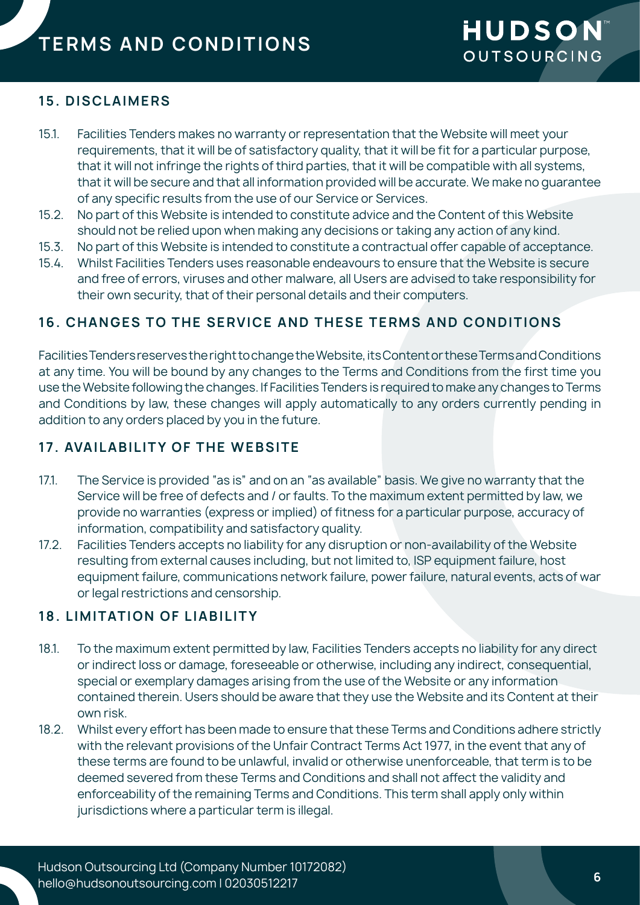### **15. DISCLAIMERS**

- 15.1. Facilities Tenders makes no warranty or representation that the Website will meet your requirements, that it will be of satisfactory quality, that it will be fit for a particular purpose, that it will not infringe the rights of third parties, that it will be compatible with all systems, that it will be secure and that all information provided will be accurate. We make no guarantee of any specific results from the use of our Service or Services.
- 15.2. No part of this Website is intended to constitute advice and the Content of this Website should not be relied upon when making any decisions or taking any action of any kind.
- 15.3. No part of this Website is intended to constitute a contractual offer capable of acceptance.
- 15.4. Whilst Facilities Tenders uses reasonable endeavours to ensure that the Website is secure and free of errors, viruses and other malware, all Users are advised to take responsibility for their own security, that of their personal details and their computers.

## **16. CHANGES TO THE SERVICE AND THESE TERMS AND CONDITIONS**

Facilities Tenders reserves the right to change the Website, its Content or these Terms and Conditions at any time. You will be bound by any changes to the Terms and Conditions from the first time you use the Website following the changes. If Facilities Tenders is required to make any changes to Terms and Conditions by law, these changes will apply automatically to any orders currently pending in addition to any orders placed by you in the future.

## **17. AVAILABILITY OF THE WEBSITE**

- 17.1. The Service is provided "as is" and on an "as available" basis. We give no warranty that the Service will be free of defects and / or faults. To the maximum extent permitted by law, we provide no warranties (express or implied) of fitness for a particular purpose, accuracy of information, compatibility and satisfactory quality.
- 17.2. Facilities Tenders accepts no liability for any disruption or non-availability of the Website resulting from external causes including, but not limited to, ISP equipment failure, host equipment failure, communications network failure, power failure, natural events, acts of war or legal restrictions and censorship.

## **18. LIMITATION OF LIABILITY**

- 18.1. To the maximum extent permitted by law, Facilities Tenders accepts no liability for any direct or indirect loss or damage, foreseeable or otherwise, including any indirect, consequential, special or exemplary damages arising from the use of the Website or any information contained therein. Users should be aware that they use the Website and its Content at their own risk.
- 18.2. Whilst every effort has been made to ensure that these Terms and Conditions adhere strictly with the relevant provisions of the Unfair Contract Terms Act 1977, in the event that any of these terms are found to be unlawful, invalid or otherwise unenforceable, that term is to be deemed severed from these Terms and Conditions and shall not affect the validity and enforceability of the remaining Terms and Conditions. This term shall apply only within jurisdictions where a particular term is illegal.